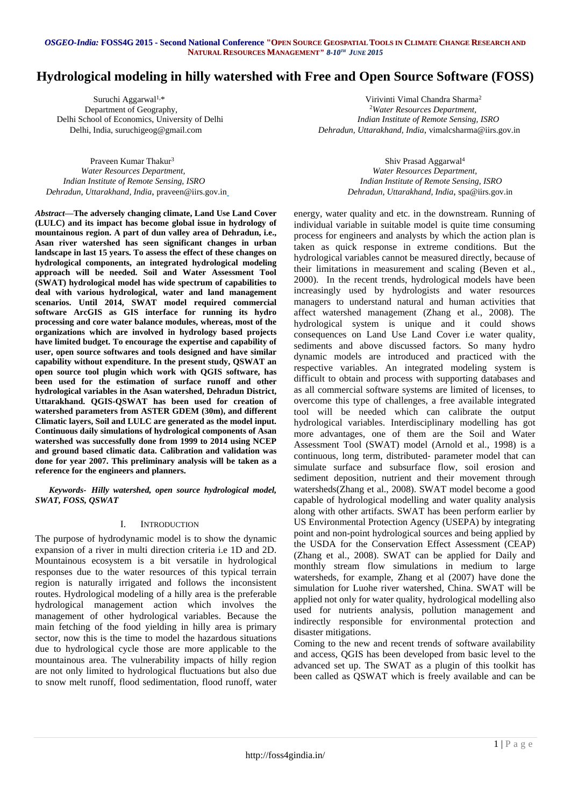# **Hydrological modeling in hilly watershed with Free and Open Source Software (FOSS)**

Delhi School of Economics, University of Delhi

 Suruchi Aggarwal1,\* Virivinti Vimal Chandra Sharma<sup>2</sup> Department of Geography, <sup>2</sup>Water Resources Department,<br>
chool of Economics, University of Delhi<br> *Indian Institute of Remote Sensing, ISRO* Delhi, India, [suruchigeog@gmail.com](mailto:suruchigeog@gmail.com) *Dehradun, Uttarakhand, India*, [vimalcsharma@iirs.gov.in](mailto:vimalcsharma@iirs.gov.in)

 Praveen Kumar Thakur<sup>3</sup> *Water Resources Department, Water Resources Department, Indian Institute of Remote Sensing, ISRO Indian Institute of Remote Sensing, ISRO Dehradun, Uttarakhand, India*, [praveen@iirs.gov.in](mailto:praveen@iirs.gov.in) *Dehradun, Uttarakhand, India*, [spa@iirs.gov.in](mailto:spa@iirs.gov.in)

*Abstract***—The adversely changing climate, Land Use Land Cover (LULC) and its impact has become global issue in hydrology of mountainous region. A part of dun valley area of Dehradun, i.e., Asan river watershed has seen significant changes in urban landscape in last 15 years. To assess the effect of these changes on hydrological components, an integrated hydrological modeling approach will be needed. Soil and Water Assessment Tool (SWAT) hydrological model has wide spectrum of capabilities to deal with various hydrological, water and land management scenarios. Until 2014, SWAT model required commercial software ArcGIS as GIS interface for running its hydro processing and core water balance modules, whereas, most of the organizations which are involved in hydrology based projects have limited budget. To encourage the expertise and capability of user, open source softwares and tools designed and have similar capability without expenditure. In the present study, QSWAT an open source tool plugin which work with QGIS software, has been used for the estimation of surface runoff and other hydrological variables in the Asan watershed, Dehradun District, Uttarakhand. QGIS-QSWAT has been used for creation of watershed parameters from ASTER GDEM (30m), and different Climatic layers, Soil and LULC are generated as the model input. Continuous daily simulations of hydrological components of Asan watershed was successfully done from 1999 to 2014 using NCEP and ground based climatic data. Calibration and validation was done for year 2007. This preliminary analysis will be taken as a reference for the engineers and planners.**

*Keywords- Hilly watershed, open source hydrological model, SWAT, FOSS, QSWAT*

# I. INTRODUCTION

The purpose of hydrodynamic model is to show the dynamic expansion of a river in multi direction criteria i.e 1D and 2D. Mountainous ecosystem is a bit versatile in hydrological responses due to the water resources of this typical terrain region is naturally irrigated and follows the inconsistent routes. Hydrological modeling of a hilly area is the preferable hydrological management action which involves the management of other hydrological variables. Because the main fetching of the food yielding in hilly area is primary sector, now this is the time to model the hazardous situations due to hydrological cycle those are more applicable to the mountainous area. The vulnerability impacts of hilly region are not only limited to hydrological fluctuations but also due to snow melt runoff, flood sedimentation, flood runoff, water

Shiv Prasad Aggarwal<sup>4</sup>

energy, water quality and etc. in the downstream. Running of individual variable in suitable model is quite time consuming process for engineers and analysts by which the action plan is taken as quick response in extreme conditions. But the hydrological variables cannot be measured directly, because of their limitations in measurement and scaling (Beven et al., 2000). In the recent trends, hydrological models have been increasingly used by hydrologists and water resources managers to understand natural and human activities that affect watershed management (Zhang et al., 2008). The hydrological system is unique and it could shows consequences on Land Use Land Cover i.e water quality, sediments and above discussed factors. So many hydro dynamic models are introduced and practiced with the respective variables. An integrated modeling system is difficult to obtain and process with supporting databases and as all commercial software systems are limited of licenses, to overcome this type of challenges, a free available integrated tool will be needed which can calibrate the output hydrological variables. Interdisciplinary modelling has got more advantages, one of them are the Soil and Water Assessment Tool (SWAT) model (Arnold et al., 1998) is a continuous, long term, distributed‐ parameter model that can simulate surface and subsurface flow, soil erosion and sediment deposition, nutrient and their movement through watersheds(Zhang et al., 2008). SWAT model become a good capable of hydrological modelling and water quality analysis along with other artifacts. SWAT has been perform earlier by US Environmental Protection Agency (USEPA) by integrating point and non-point hydrological sources and being applied by the USDA for the Conservation Effect Assessment (CEAP) (Zhang et al., 2008). SWAT can be applied for Daily and monthly stream flow simulations in medium to large watersheds, for example, Zhang et al (2007) have done the simulation for Luohe river watershed, China. SWAT will be applied not only for water quality, hydrological modelling also used for nutrients analysis, pollution management and indirectly responsible for environmental protection and disaster mitigations.

Coming to the new and recent trends of software availability and access, QGIS has been developed from basic level to the advanced set up. The SWAT as a plugin of this toolkit has been called as QSWAT which is freely available and can be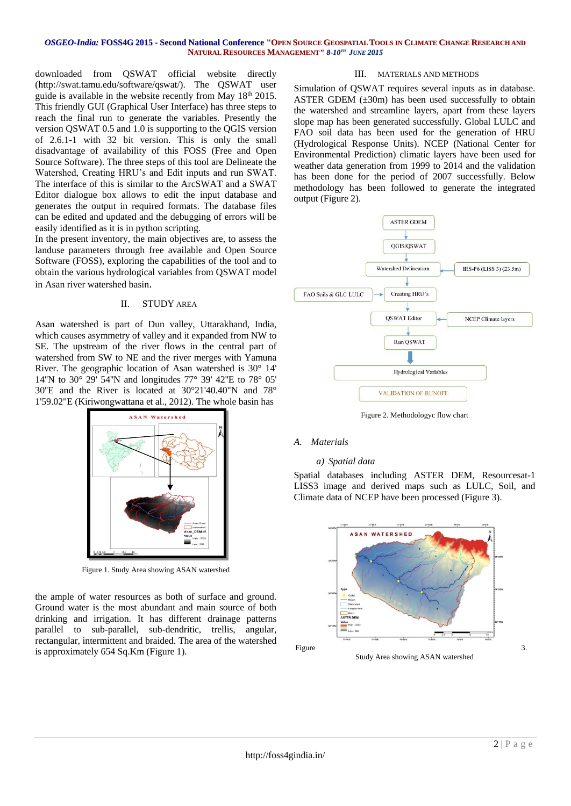#### OSGEO-India: FOSS4G 2015 - Second National Conference "OPEN SOURCE GEOSPATIAL TOOLS IN CLIMATE CHANGE RESEARCH AND **NATURAL RESOURCES MANAGEMENT***" 8-10 TH JUNE 2015*

downloaded from QSWAT official website directly (http://swat.tamu.edu/software/qswat/). The QSWAT user guide is available in the website recently from May 18<sup>th</sup> 2015. This friendly GUI (Graphical User Interface) has three steps to reach the final run to generate the variables. Presently the version QSWAT 0.5 and 1.0 is supporting to the QGIS version of 2.6.1-1 with 32 bit version. This is only the small disadvantage of availability of this FOSS (Free and Open Source Software). The three steps of this tool are Delineate the Watershed, Creating HRU's and Edit inputs and run SWAT. The interface of this is similar to the ArcSWAT and a SWAT Editor dialogue box allows to edit the input database and generates the output in required formats. The database files can be edited and updated and the debugging of errors will be easily identified as it is in python scripting.

In the present inventory, the main objectives are, to assess the landuse parameters through free available and Open Source Software (FOSS), exploring the capabilities of the tool and to obtain the various hydrological variables from QSWAT model in Asan river watershed basin.

### II. STUDY AREA

Asan watershed is part of Dun valley, Uttarakhand, India, which causes asymmetry of valley and it expanded from NW to SE. The upstream of the river flows in the central part of watershed from SW to NE and the river merges with Yamuna River. The geographic location of Asan watershed is 30° 14' 14''N to 30° 29' 54''N and longitudes 77° 39' 42''E to 78° 05' 30''E and the River is located at 30°21'40.40"N and 78° 1'59.02"E (Kiriwongwattana et al., 2012). The whole basin has



Figure 1. Study Area showing ASAN watershed

the ample of water resources as both of surface and ground. Ground water is the most abundant and main source of both drinking and irrigation. It has different drainage patterns parallel to sub-parallel, sub-dendritic, trellis, angular, rectangular, intermittent and braided. The area of the watershed is approximately 654 Sq.Km (Figure 1).

### III. MATERIALS AND METHODS

Simulation of QSWAT requires several inputs as in database. ASTER GDEM  $(\pm 30m)$  has been used successfully to obtain the watershed and streamline layers, apart from these layers slope map has been generated successfully. Global LULC and FAO soil data has been used for the generation of HRU (Hydrological Response Units). NCEP (National Center for Environmental Prediction) climatic layers have been used for weather data generation from 1999 to 2014 and the validation has been done for the period of 2007 successfully. Below methodology has been followed to generate the integrated output (Figure 2).



Figure 2. Methodologyc flow chart

### *A. Materials*

### *a) Spatial data*

Spatial databases including ASTER DEM, Resourcesat-1 LISS3 image and derived maps such as LULC, Soil, and Climate data of NCEP have been processed (Figure 3).

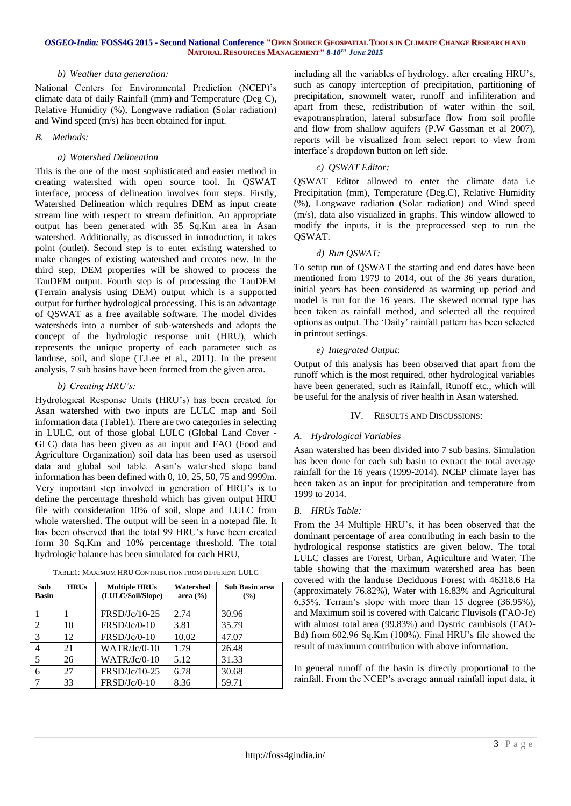### OSGEO-India: FOSS4G 2015 - Second National Conference "OPEN SOURCE GEOSPATIAL TOOLS IN CLIMATE CHANGE RESEARCH AND **NATURAL RESOURCES MANAGEMENT***" 8-10 TH JUNE 2015*

### *b) Weather data generation:*

National Centers for Environmental Prediction (NCEP)'s climate data of daily Rainfall (mm) and Temperature (Deg C), Relative Humidity (%), Longwave radiation (Solar radiation) and Wind speed (m/s) has been obtained for input.

### *B. Methods:*

# *a) Watershed Delineation*

This is the one of the most sophisticated and easier method in creating watershed with open source tool. In QSWAT interface, process of delineation involves four steps. Firstly, Watershed Delineation which requires DEM as input create stream line with respect to stream definition. An appropriate output has been generated with 35 Sq.Km area in Asan watershed. Additionally, as discussed in introduction, it takes point (outlet). Second step is to enter existing watershed to make changes of existing watershed and creates new. In the third step, DEM properties will be showed to process the TauDEM output. Fourth step is of processing the TauDEM (Terrain analysis using DEM) output which is a supported output for further hydrological processing. This is an advantage of QSWAT as a free available software. The model divides watersheds into a number of sub-watersheds and adopts the concept of the hydrologic response unit (HRU), which represents the unique property of each parameter such as landuse, soil, and slope (T.Lee et al., 2011). In the present analysis, 7 sub basins have been formed from the given area.

# *b) Creating HRU's:*

Hydrological Response Units (HRU's) has been created for Asan watershed with two inputs are LULC map and Soil information data (Table1). There are two categories in selecting in LULC, out of those global LULC (Global Land Cover - GLC) data has been given as an input and FAO (Food and Agriculture Organization) soil data has been used as usersoil data and global soil table. Asan's watershed slope band information has been defined with 0, 10, 25, 50, 75 and 9999m. Very important step involved in generation of HRU's is to define the percentage threshold which has given output HRU file with consideration 10% of soil, slope and LULC from whole watershed. The output will be seen in a notepad file. It has been observed that the total 99 HRU's have been created form 30 Sq.Km and 10% percentage threshold. The total hydrologic balance has been simulated for each HRU,

| <b>Sub</b><br><b>Basin</b> | <b>HRUs</b> | <b>Multiple HRUs</b><br>(LULC/Soil/Slope) | Watershed<br>area $(\frac{6}{6})$ | <b>Sub Basin area</b><br>(%) |
|----------------------------|-------------|-------------------------------------------|-----------------------------------|------------------------------|
|                            |             | FRSD/Jc/10-25                             | 2.74                              | 30.96                        |
| $\overline{2}$             | 10          | $FRSD/Jc/0-10$                            | 3.81                              | 35.79                        |
| 3                          | 12.         | FRSD/Jc/0-10                              | 10.02                             | 47.07                        |
| 4                          | 21          | $WATR/Jc/0-10$                            | 1.79                              | 26.48                        |
| 5                          | 26          | $WATR/Jc/0-10$                            | 5.12                              | 31.33                        |
| 6                          | 27          | FRSD/Jc/10-25                             | 6.78                              | 30.68                        |
| -7                         | 33          | FRSD/Jc/0-10                              | 8.36                              | 59.71                        |

TABLE1: MAXIMUM HRU CONTRIBUTION FROM DIFFERENT LULC

including all the variables of hydrology, after creating HRU's, such as canopy interception of precipitation, partitioning of precipitation, snowmelt water, runoff and infiliteration and apart from these, redistribution of water within the soil, evapotranspiration, lateral subsurface flow from soil profile and flow from shallow aquifers (P.W Gassman et al 2007), reports will be visualized from select report to view from interface's dropdown button on left side.

# *c) QSWAT Editor:*

QSWAT Editor allowed to enter the climate data i.e Precipitation (mm), Temperature (Deg.C), Relative Humidity (%), Longwave radiation (Solar radiation) and Wind speed (m/s), data also visualized in graphs. This window allowed to modify the inputs, it is the preprocessed step to run the QSWAT.

# *d) Run QSWAT:*

To setup run of QSWAT the starting and end dates have been mentioned from 1979 to 2014, out of the 36 years duration, initial years has been considered as warming up period and model is run for the 16 years. The skewed normal type has been taken as rainfall method, and selected all the required options as output. The 'Daily' rainfall pattern has been selected in printout settings.

# *e) Integrated Output:*

Output of this analysis has been observed that apart from the runoff which is the most required, other hydrological variables have been generated, such as Rainfall, Runoff etc., which will be useful for the analysis of river health in Asan watershed.

# IV. RESULTS AND DISCUSSIONS:

# *A. Hydrological Variables*

Asan watershed has been divided into 7 sub basins. Simulation has been done for each sub basin to extract the total average rainfall for the 16 years (1999-2014). NCEP climate layer has been taken as an input for precipitation and temperature from 1999 to 2014.

# *B. HRUs Table:*

From the 34 Multiple HRU's, it has been observed that the dominant percentage of area contributing in each basin to the hydrological response statistics are given below. The total LULC classes are Forest, Urban, Agriculture and Water. The table showing that the maximum watershed area has been covered with the landuse Deciduous Forest with 46318.6 Ha (approximately 76.82%), Water with 16.83% and Agricultural 6.35%. Terrain's slope with more than 15 degree (36.95%), and Maximum soil is covered with Calcaric Fluvisols (FAO-Jc) with almost total area (99.83%) and Dystric cambisols (FAO-Bd) from 602.96 Sq.Km (100%). Final HRU's file showed the result of maximum contribution with above information.

In general runoff of the basin is directly proportional to the rainfall. From the NCEP's average annual rainfall input data, it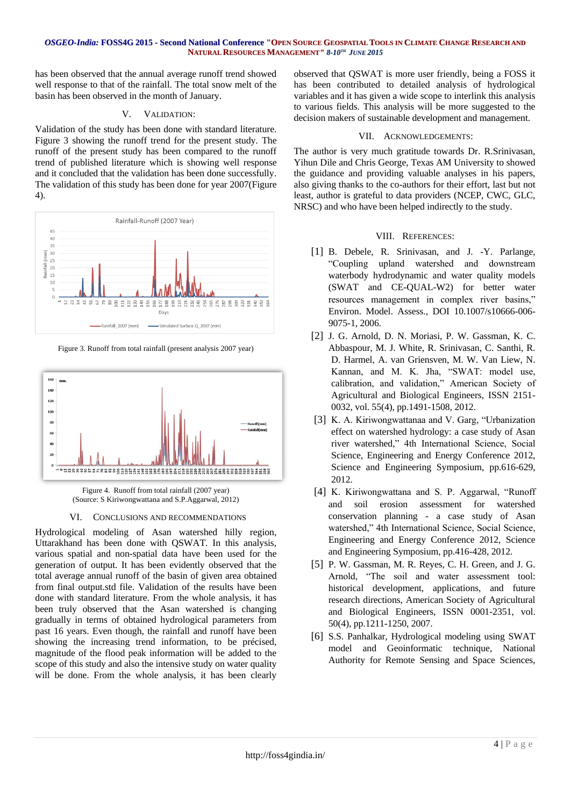### OSGEO-India: FOSS4G 2015 - Second National Conference "OPEN SOURCE GEOSPATIAL TOOLS IN CLIMATE CHANGE RESEARCH AND **NATURAL RESOURCES MANAGEMENT***" 8-10 TH JUNE 2015*

has been observed that the annual average runoff trend showed well response to that of the rainfall. The total snow melt of the basin has been observed in the month of January.

### V. VALIDATION:

Validation of the study has been done with standard literature. Figure 3 showing the runoff trend for the present study. The runoff of the present study has been compared to the runoff trend of published literature which is showing well response and it concluded that the validation has been done successfully. The validation of this study has been done for year 2007(Figure 4).



Figure 3. Runoff from total rainfall (present analysis 2007 year)



Figure 4. Runoff from total rainfall (2007 year) (Source: S Kiriwongwattana and S.P.Aggarwal, 2012)

# VI. CONCLUSIONS AND RECOMMENDATIONS

Hydrological modeling of Asan watershed hilly region, Uttarakhand has been done with QSWAT. In this analysis, various spatial and non-spatial data have been used for the generation of output. It has been evidently observed that the total average annual runoff of the basin of given area obtained from final output.std file. Validation of the results have been done with standard literature. From the whole analysis, it has been truly observed that the Asan watershed is changing gradually in terms of obtained hydrological parameters from past 16 years. Even though, the rainfall and runoff have been showing the increasing trend information, to be précised, magnitude of the flood peak information will be added to the scope of this study and also the intensive study on water quality will be done. From the whole analysis, it has been clearly

observed that QSWAT is more user friendly, being a FOSS it has been contributed to detailed analysis of hydrological variables and it has given a wide scope to interlink this analysis to various fields. This analysis will be more suggested to the decision makers of sustainable development and management.

### VII. ACKNOWLEDGEMENTS:

The author is very much gratitude towards Dr. R.Srinivasan, Yihun Dile and Chris George, Texas AM University to showed the guidance and providing valuable analyses in his papers, also giving thanks to the co-authors for their effort, last but not least, author is grateful to data providers (NCEP, CWC, GLC, NRSC) and who have been helped indirectly to the study.

### VIII. REFERENCES:

- [1] B. Debele, R. Srinivasan, and J. -Y. Parlange, "Coupling upland watershed and downstream waterbody hydrodynamic and water quality models (SWAT and CE-QUAL-W2) for better water resources management in complex river basins," Environ. Model. Assess., DOI 10.1007/s10666-006- 9075-1, 2006.
- [2] J. G. Arnold, D. N. Moriasi, P. W. Gassman, K. C. Abbaspour, M. J. White, R. Srinivasan, C. Santhi, R. D. Harmel, A. van Griensven, M. W. Van Liew, N. Kannan, and M. K. Jha, "SWAT: model use, calibration, and validation," American Society of Agricultural and Biological Engineers, ISSN 2151- 0032, vol. 55(4), pp.1491-1508, 2012.
- [3] K. A. Kiriwongwattanaa and V. Garg, "Urbanization effect on watershed hydrology: a case study of Asan river watershed," 4th International Science, Social Science, Engineering and Energy Conference 2012, Science and Engineering Symposium, pp.616-629, 2012.
- [4] K. Kiriwongwattana and S. P. Aggarwal, "Runoff and soil erosion assessment for watershed conservation planning - a case study of Asan watershed," 4th International Science, Social Science, Engineering and Energy Conference 2012, Science and Engineering Symposium, pp.416-428, 2012.
- [5] P. W. Gassman, M. R. Reyes, C. H. Green, and J. G. Arnold, "The soil and water assessment tool: historical development, applications, and future research directions, American Society of Agricultural and Biological Engineers, ISSN 0001-2351, vol. 50(4), pp.1211-1250, 2007.
- [6] S.S. Panhalkar, Hydrological modeling using SWAT model and Geoinformatic technique, National Authority for Remote Sensing and Space Sciences,